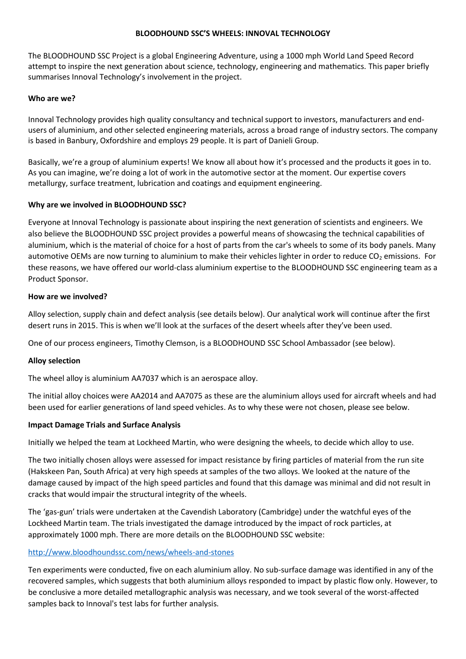#### **BLOODHOUND SSC'S WHEELS: INNOVAL TECHNOLOGY**

The BLOODHOUND SSC Project is a global Engineering Adventure, using a 1000 mph World Land Speed Record attempt to inspire the next generation about science, technology, engineering and mathematics. This paper briefly summarises Innoval Technology's involvement in the project.

#### **Who are we?**

Innoval Technology provides high quality consultancy and technical support to investors, manufacturers and endusers of aluminium, and other selected engineering materials, across a broad range of industry sectors. The company is based in Banbury, Oxfordshire and employs 29 people. It is part of Danieli Group.

Basically, we're a group of aluminium experts! We know all about how it's processed and the products it goes in to. As you can imagine, we're doing a lot of work in the automotive sector at the moment. Our expertise covers metallurgy, surface treatment, lubrication and coatings and equipment engineering.

### **Why are we involved in BLOODHOUND SSC?**

Everyone at Innoval Technology is passionate about inspiring the next generation of scientists and engineers. We also believe the BLOODHOUND SSC project provides a powerful means of showcasing the technical capabilities of aluminium, which is the material of choice for a host of parts from the car's wheels to some of its body panels. Many automotive OEMs are now turning to aluminium to make their vehicles lighter in order to reduce  $CO<sub>2</sub>$  emissions. For these reasons, we have offered our world-class aluminium expertise to the BLOODHOUND SSC engineering team as a Product Sponsor.

### **How are we involved?**

Alloy selection, supply chain and defect analysis (see details below). Our analytical work will continue after the first desert runs in 2015. This is when we'll look at the surfaces of the desert wheels after they've been used.

One of our process engineers, Timothy Clemson, is a BLOODHOUND SSC School Ambassador (see below).

# **Alloy selection**

The wheel alloy is aluminium AA7037 which is an aerospace alloy.

The initial alloy choices were AA2014 and AA7075 as these are the aluminium alloys used for aircraft wheels and had been used for earlier generations of land speed vehicles. As to why these were not chosen, please see below.

#### **Impact Damage Trials and Surface Analysis**

Initially we helped the team at Lockheed Martin, who were designing the wheels, to decide which alloy to use.

The two initially chosen alloys were assessed for impact resistance by firing particles of material from the run site (Hakskeen Pan, South Africa) at very high speeds at samples of the two alloys. We looked at the nature of the damage caused by impact of the high speed particles and found that this damage was minimal and did not result in cracks that would impair the structural integrity of the wheels.

The 'gas-gun' trials were undertaken at the Cavendish Laboratory (Cambridge) under the watchful eyes of the Lockheed Martin team. The trials investigated the damage introduced by the impact of rock particles, at approximately 1000 mph. There are more details on the BLOODHOUND SSC website:

# <http://www.bloodhoundssc.com/news/wheels-and-stones>

Ten experiments were conducted, five on each aluminium alloy. No sub-surface damage was identified in any of the recovered samples, which suggests that both aluminium alloys responded to impact by plastic flow only. However, to be conclusive a more detailed metallographic analysis was necessary, and we took several of the worst-affected samples back to Innoval's test labs for further analysis.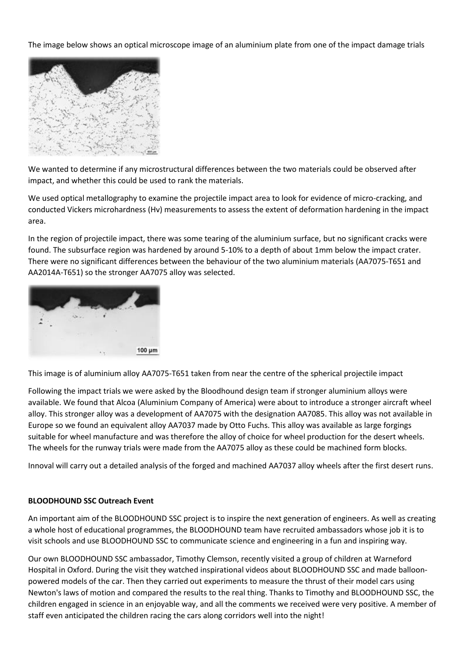The image below shows an optical microscope image of an aluminium plate from one of the impact damage trials



We wanted to determine if any microstructural differences between the two materials could be observed after impact, and whether this could be used to rank the materials.

We used optical metallography to examine the projectile impact area to look for evidence of micro-cracking, and conducted Vickers microhardness (Hv) measurements to assess the extent of deformation hardening in the impact area.

In the region of projectile impact, there was some tearing of the aluminium surface, but no significant cracks were found. The subsurface region was hardened by around 5-10% to a depth of about 1mm below the impact crater. There were no significant differences between the behaviour of the two aluminium materials (AA7075-T651 and AA2014A-T651) so the stronger AA7075 alloy was selected.



This image is of aluminium alloy AA7075-T651 taken from near the centre of the spherical projectile impact

Following the impact trials we were asked by the Bloodhound design team if stronger aluminium alloys were available. We found that Alcoa (Aluminium Company of America) were about to introduce a stronger aircraft wheel alloy. This stronger alloy was a development of AA7075 with the designation AA7085. This alloy was not available in Europe so we found an equivalent alloy AA7037 made by Otto Fuchs. This alloy was available as large forgings suitable for wheel manufacture and was therefore the alloy of choice for wheel production for the desert wheels. The wheels for the runway trials were made from the AA7075 alloy as these could be machined form blocks.

Innoval will carry out a detailed analysis of the forged and machined AA7037 alloy wheels after the first desert runs.

# **BLOODHOUND SSC Outreach Event**

An important aim of the BLOODHOUND SSC project is to inspire the next generation of engineers. As well as creating a whole host of educational programmes, the BLOODHOUND team have recruited ambassadors whose job it is to visit schools and use BLOODHOUND SSC to communicate science and engineering in a fun and inspiring way.

Our own BLOODHOUND SSC ambassador, Timothy Clemson, recently visited a group of children at Warneford Hospital in Oxford. During the visit they watched inspirational videos about BLOODHOUND SSC and made balloonpowered models of the car. Then they carried out experiments to measure the thrust of their model cars using Newton's laws of motion and compared the results to the real thing. Thanks to Timothy and BLOODHOUND SSC, the children engaged in science in an enjoyable way, and all the comments we received were very positive. A member of staff even anticipated the children racing the cars along corridors well into the night!